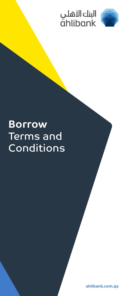



# **Borrow** Terms and **Conditions**

**ahlibank.com.qa**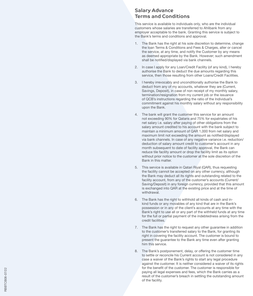# **Salary Advance Terms and Conditions**

This service is available to individuals only, who are the individual customers whose salaries are transferred to Ahlibank from any employer acceptable to the bank. Granting this service is subject to the Bank's terms and conditions and approval.

- 1. The Bank has the right at his sole discretion to determine, change the loan Terms & Conditions and Fees & Charges, alter or cancel the service, at any time, and notify the Customer by any means as deemed appropriate by the Bank. However; such amendment shall be notified/displayed via bank channels.
- 2. In case Lapply for any Loan/Credit Facility (of any kind), I hereby authorise the Bank to deduct the due amounts regarding this service, then those resulting from other Loans/Credit Facilities.
- 3. I hereby irrevocably and unconditionally authorise the Bank to deduct from any of my accounts, whatever they are (Current, Savings, Deposit), in case of non receipt of my monthly salary, termination/resignation from my current job or the issuance of QCB's instructions regarding the ratio of the Individual's commitment against his monthly salary without any responsibility upon the Bank.
- 4. The bank will grant the customer this service for an amount not exceeding 90% for Qataris and 75% for expatriates of his net salary i.e. salary after paying of other obligations from the salary amount credited to his account with the bank subject to maintain a minimum amount of QAR 1,000 from net salary and maximum limit not exceeding the amount as notified/displayed via bank channels. In case of any negative variance i.e. reduction/ deduction of salary amount credit to customer's account in any month subsequent to date of facility approval, the Bank can reduce tile facility amount or drop the facility limit as its option without prior notice to the customer at the sole discretion of the Bank in this matter.
- 5. This service is available in Qatari Riyal (QAR), thus requesting the facility cannot be accepted on any other currency, although the Bank may deduct all its rights and outstanding related to the facility account, from any of the customer's accounts (Current/ Saving/Deposit) in any foreign currency, provided that this amount is exchanged into QAR at the existing price and at the time of withdrawal.
- 6. The Bank has the right to withhold all kinds of cash and inkind funds or any movables of any kind that are in the Bank's possession or in any of the client's accounts at any time with the Bank's right to use all or any part of the withheld funds at any time for the full or partial payment of the indebtedness arising from the credit facilities.
- 7. The Bank has the right to request any other guarantee in addition to the customer's transferred salary to the Bank, for granting its right in covering the facility account. The customer is bound to present the guarantee to the Bank any time even after granting him this service.
- 8. The Bank's postponement, delay, or offering the customer time to settle or reconcile his Current account is not considered in any case a waiver of the Bank's rights to start any legal procedure against the customer. It is neither considered a waiver of its rights for the benefit of the customer. The customer is responsible for paying all legal expenses and fees, which the Bank carries as a result of the customer's breach in settling the outstanding amount of the facility.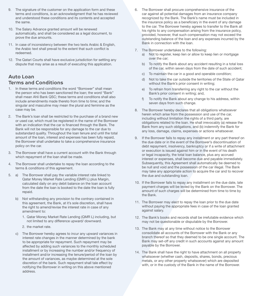- 9. The signature of the customer on the application form and these terms and conditions, is an acknowledgment that he has reviewed and understood these conditions and its contents and accepted the same.
- 10. The Salary Advance granted amount will be renewed automatically, and shall be considered as a legal document, to prove the due amounts.
- 11. In case of inconsistency between the two texts Arabic & English, the Arabic text shall prevail to the extent that such conflict is redeemed.
- 12. The Qatari Courts shall have exclusive jurisdiction for settling any dispute that may arise as a result of executing this application.

## **Auto Loan Terms and Conditions**

- 1. In these terms and conditions the word "Borrower" shall mean the person who has been sanctioned the loan; the word "Bank" shall mean Ahli Bank QSC; these terms and conditions shall also include amendments made thereto from time to time; and the singular and masculine may mean the plural and feminine as the case may be.
- 2. The Bank's loan shall be restricted to the purchase of a brand new or used car, which must be registered in the name of the Borrower with an indication that the car is financed through the Bank. The Bank will not be responsible for any damage to the car due to substandard quality. Throughout the loan tenure and until the total amount of the loan, interest and expenses has been fully repaid, the Borrower shall undertake to take a comprehensive insurance policy on the car.
- 3. The Borrower shall have a current account with the Bank through which repayment of the loan shall be made.
- 4. The Borrower shall undertake to repay the loan according to the terms & conditions of this agreement.
- 5. a) The Borrower shall pay the variable interest rate linked to Qatar Money Market Rate Lending (QMR L) plus Margin, calculated daily on any debit balance on the loan account from the date the loan is booked to the date the loan is fully repaid.
	- b) Not withstanding any provision to the contrary contained in this agreement, the Bank, at it's sole discretion, shall have the right to amend/revise the interest rate in case of any amendment to:
		- 1. Qatar Money Market Rate Lending (QMR L) including, but not limited to any difference upward/ downward.
		- 2. the market rate.
	- The Borrower hereby agrees to incur any upward variances in interest rate changes in the manner determined by the bank to be appropriate for repayment. Such repayment may be affected by adding such variances to the monthly scheduled installment or by increasing the number and/or frequency of installment and/or increasing the tenure/period of the loan by the amount of variances, as maybe determined at the sole discretion of the bank. Such repayment shall tale effect by notifying the Borrower in writing on this above mentioned address.
- 6. The Borrower shall procure comprehensive insurance of the car against all potential damages from an insurance company recognized by the Bank. The Bank's name must be included in the insurance policy as a beneficiary in the event of any damage to the car. The Borrower hereby agrees to transfer to the Bank all his rights to any compensation arising from the insurance policy. provided, however, that such compensation may not exceed the outstanding balance of the loan and any expenses incurred by the Bank in connection with the loan.
- 7. The Borrower undertakes to the following:
	- a) Not to register, keep lien or allow to keep lien or mortgage over the car;
	- b) To notify the Bank about any accident resulting in a total loss of the car, within seven days from the date of such accident;
	- c) To maintain the car in a good and operable condition;
	- d) Not to take the car outside the territories of the State of Qatar without the Bank's prior consent in writing:
	- e) To refrain from transferring any right to the car without the Bank's prior consent in writing; and,
	- f) To notify the Bank about any change to his address, within seven days from such change.
- 8. The Borrower hereby declares that all obligations whatsoever herein which arise from the possession and use of the car, including without limitation the rights of a third party, are obligations related to the loan. He shall irrevocably (a) release the Bank from any such obligations, and (b) indemnify the Bank for any loss, damage, claims, expenses or actions whatsoever.
- 9. If the Borrower fails to repay any installment or any part thereof on the due date or in the event of the Borrower's discontinuation of debt repayment, insolvency, bankruptcy or if a write of attachment or execution is issued against him or in the event of his death or legal incapacity, the total loan balance, plus any accrued interest or expenses, shall become due and payable immediately. Subsequently, this Agreement shall automatically be deemed to be null and void and the possession of the car illegal. The Bank may take any appropriate action to acquire the car and to recover the due and outstanding loan.
- 10. If the Borrower fails to repay any installment on the due date, late payment charges will be levied by the Bank on the Borrower. The amount of such charges will be determined from time to time by the Bank.
- 11. The Borrower may elect to repay the loan prior to the due date without paying the appropriate fees in case of the loan granted against salary.
- 12. The Bank's books and records shall be irrefutable evidence which may not be questionable or disputable by the Borrower.
- 13. The Bank may at any time without notice to the Borrower consolidate all accounts of the Borrower with the Bank or any branch thereof so that they deemed to be one single account. The Bank may set-off any credit in such accounts against any amount payable by the Borrower.
- 14. The Bank shall have the right to have attachment on all property whatsoever (whether cash, deposits, shares, bonds, precious metals, or any other property whatsoever) which are deposited with, or in the custody of the Bank in the name of the Borrower.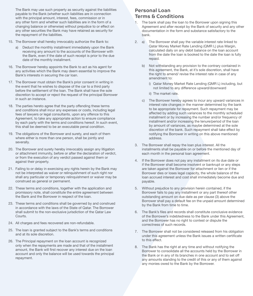The Bank may use such property as security against the liabilities payable to the Bank (whether such liabilities are in connection with the principal amount, interest, fees, commission or in any other form and whether such liabilities are in the form of a changing balance or otherwise) without prejudice to or effect on any other securities the Bank may have retained as security for the repayment of the liabilities.

- 15. The Borrower shall hereby irrevocably authorize the Bank to:
	- a) Deduct the monthly installment immediately upon the Bank receiving any amount to the accounts of the Borrower with the Bank, even if the date of such receipt is prior to the due date of the monthly installment.
- 16. The Borrower hereby appoints the Bank to act as his agent for any activities which the Bank may deem essential to improve the Bank's interests in securing the car loan.
- 17. The Borrower must obtain the Bank's prior consent in writing in the event that he wishes to dispose of the car to a third party before the settlement of the loan. The Bank shall have the sole discretion to accept or reject the request of the principal Borrower in such an instance.
- 18. The parties hereto agree that the party offending these terms and conditions shall incur any expenses or costs, including legal fees of lawyers or legal consultants, upon any offence to this Agreement, to take any appropriate action to ensure compliance by each party with the terms and conditions hereof. In such event, this shall be deemed to be an executable penal condition.
- 19. The obligations of the Borrower and surety, and each of them where either is more than one person, shall be jointly and severally.
- 20. The Borrower and surety hereby irrevocably assign any litigation or attachment immunity, before or after the declaration of verdict, or from the execution of any verdict passed against them or against their property.
- 21. Failing to or delay in exercising any rights herein by the Bank may not be interpreted as waiver or relinquishment of such right nor shall any particular or temporary relinquishment or waiver may be construed as general or permanent.
- 22. These terms and conditions, together with the application and promissory note, shall constitute the entire agreement between the Bank and the Borrower in respect of the loan.
- 23. These terms and conditions shall be governed by and construed in accordance with the laws of the State of Qatar. The Borrower shall submit to the non-exclusive jurisdiction of the Qatar Law Courts.
- 24. All charges and fees recovered are non-refundable.
- 25. The loan is granted subject to the Bank's terms and conditions and at its sole discretion.
- 26. The Principal repayment on the loan account is recognized only when the repayments are made and that of the installment amount, the Bank will first recover any interest due on the loan account and only the balance will be used towards the principal repayment.

# **Personal Loan Terms & Conditions**

- 1. The bank shall pay the loan to the Borrower upon signing this Agreement and after receipt by the Bank of security and any other documentation in the form and substance satisfactory to the bank.
- 2. a) The Borrower shall pay the variable interest rate linked to Qatar Money Market Rate Lending (QMR L) plus Margin, calculated daily on any debit balance on the loan account from the date the loan is booked to the date the loan is fully repaid.
	- b) Not withstanding any provision to the contrary contained in this agreement, the Bank, at it's sole discretion, shall have the right to amend/ revise the interest rate in case of any amendment to:
		- i) Qatar Money Market Rate Lending (QMR L) including, but not limited to any difference upward/downward
		- ii) The market rate.
	- c) The Borrower hereby agrees to incur any upward variances in interest rate changes in the manner determined by the bank to be appropriate for repayment. Such repayment may be affected by adding such variances to the monthly scheduled installment or by increasing the number and/or frequency of installment and/or increasing the tenure/period of the loan by amount of variances, as maybe determined at the sole discretion of the bank. Such repayment shall take effect by notifying the Borrower in writing on this above mentioned address.
- 3. The Borrower shall repay the loan plus interest. All the installments shall be payable on or before the mentioned day of each month in the personal loan agreement.
- 4. If the Borrower does not pay any installment on its due date or if the Borrower shall become insolvent or bankrupt or any steps are taken against the Borrower for attachment or lien or if the Borrower dies or loses legal capacity, the whole balance of the loan accrued interest and cost shall immediately become due and payable.
- 5. Without prejudice to any provision herein contained, if the Borrower fails to pay any installment or any part thereof other outstanding amount on due date as per clause (3) above the Borrower shall pay a default fee on the unpaid amount determined by the Bank from time to time.
- 6. The Bank's files and records shall constitute conclusive evidence of the Borrower's indebtedness to the Bank under this Agreement, and the Borrower has no right to contest or dispute the correctness of such records.
- 7. The Borrower shall not be considered released from his obligation under this agreement unless the Bank issues a written certificate to this effect.
- 8. The Bank has the right at any time and without notifying the Borrower to consolidate all the accounts held by the Borrower in the Bank or in any of its branches in one account and to set off any amounts standing to the credit of this or any of them against any monies owed to the Bank by the Borrower.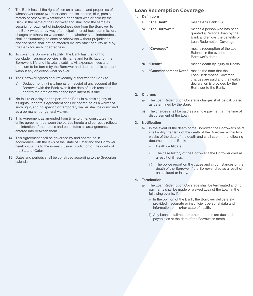- 9. The Bank has all the right of lien on all assets and properties of whatsoever nature (whether cash, stocks, shares, bills, precious metals or otherwise whatsoever) deposited with or held by the Bank in the name of the Borrower and shall hold the same as security for payment of indebtedness due from the Borrower to the Bank (whether by way of principal, interest fees, commission, charges or otherwise whatsoever and whether such indebtedness shall be fluctuating balance or otherwise) without prejudice to, and the same shall not be affected by, any other security held by the Bank for such indebtedness.
- 10. To cover the Borrower's liability, The Bank has the right to conclude insurance policies in its name and for its favor on the Borrower's life and his total disability. All expenses, fees and premium to be borne by the Borrower and debited to his account without any objection what so ever.
- 11. The Borrower agrees and irrevocably authorizes the Bank to:
	- a) Deduct monthly installments on receipt of any account of the Borrower with the Bank even if the date of such receipt is prior to the date on which the installment falls due.
- 12. No failure or delay on the part of the Bank in exercising any of its rights under this Agreement shall be construed as a waiver of such right, and no specific or temporary waiver shall be construed as a permanent or general waiver.
- 13. This Agreement as amended from time to time, constitutes the entire agreement between the parties hereto and correctly reflects the intention of the parties and constitutes all arrangements entered into between them.
- 14. This Agreement shall be governed by and construed in accordance with the laws of the State of Qatar and the Borrower hereby submits to the non-exclusive jurisdiction of the courts of the State of Qatar.
- 15. Dates and periods shall be construed according to the Gregorian calendar.

## **Loan Redemption Coverage**

**1. Definitions**

| a) | "The Bank"          | means Ahli Bank QSC                                                                                                           |
|----|---------------------|-------------------------------------------------------------------------------------------------------------------------------|
| b) | "The Borrower"      | means a person who has been<br>granted a Personal loan by the<br>Bank and enjoys the benefits of<br>Loan Redemption Coverage. |
| C) | "Coverage"          | means redemption of the Loan<br>Balance in the event of the<br>Borrower's death.                                              |
| d) | "Death"             | means death by injury or illness.                                                                                             |
| e) | "Commencement Date" | means the date that the<br>Loan Redemption Coverage<br>charges are paid and the health<br>declaration is provided by the      |

#### **2. Charges**

a) The Loan Redemption Coverage charges shall be calculated as determined by the Bank.

Borrower to the Bank.

b) The charges shall be paid as a single payment at the time of disbursement of the Loan.

#### **3. Notification**

- a) In the event of the death of the Borrower, the Borrower's heirs shall notify the Bank of the death of the Borrower within two weeks of the date of the death and shall submit the following documents to the Bank:
	- i) Death certificate.
	- ii) The case history of the Borrower if the Borrower died as a result of illness.
	- iii) The police report on the cause and circumstances of the death of the Borrower if the Borrower died as a result of an accident or injury.

#### **4. Termination**

- a) The Loan Redemption Coverage shall be terminated and no payments shall be made or waived against the Loan in the following events, if:
	- i) In the opinion of the Bank, the Borrower deliberately provided inaccurate or insufficient personal data and information on his/her state of health:
	- ii) Any Loan Installment or other amounts are due and payable as at the date of the Borrower's death.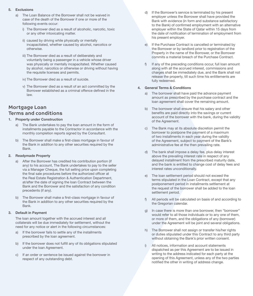#### **5. Exclusions**

- a) The Loan Balance of the Borrower shall not be waived in case of the death of the Borrower if one or more of the following events occur:
	- i) The Borrower died as a result of alcoholic, narcotic, toxic or any other intoxicating matter.
	- ii) caused by driving while physically or mentally incapacitated, whether caused by alcohol, narcotics or otherwise.
	- iii) The Borrower died as a result of deliberately and voluntarily being a passenger in a vehicle whose driver was physically or mentally incapacitated. Whether caused by alcohol, narcotics or otherwise or driving without having the requisite licenses and permits.
	- iv) The Borrower died as a result of suicide.
	- v) The Borrower died as a result of an act committed by the Borrower established as a criminal offence defined in the law.

## **Mortgage Loan Terms and conditions**

#### **1. Property under Construction**

- The Bank undertakes to pay the loan amount in the form of installments payable to the Contractor in accordance with the monthly completion reports signed by the Consultant.
- b) The Borrower shall make a first-class mortgage in favour of the Bank in addition to any other securities required by the Bank.

#### **2. Readymade Property**

- a) After the Borrower has credited his contribution portion (if any) to his account, The Bank undertakes to pay to the seller via a Manager Cheque, the full selling price upon completing the final sale procedures before the authorized officer at the Real Estate Registration & Authentication Department, at/after the date of signing the loan Contract between the Bank and the Borrower and the satisfaction of any condition precedents (if any).
- b) The Borrower shall make a first-class mortgage in favour of the Bank in addition to any other securities required by the Bank.

#### **3. Default in Payment**

The loan amount together with the accrued interest and all collaterals will be due immediately for settlement, without the need for any notice or alert in the following circumstances:

- a) If the borrower fails to settle any of the installments prescribed by the loan agreement.
- b) If the borrower does not fulfill any of its obligations stipulated under the loan Agreement.
- c) If an order or sentence be issued against the borrower in respect of any outstanding debt.
- d) If the Borrower's service is terminated by his present employer unless the Borrower shall have provided the Bank with evidence (in form and substance satisfactory to the Bank) of confirmed employment with an alternative employer within the State of Qatar within 15 days from the date of notification of termination of employment from his present employer.
- e) If the Purchase Contract is cancelled or terminated by the Borrower or by landlord prior to registration of the Property in the name of the Borrower, or the Borrower commits a material breach of the Purchase Contract.
- If any of the preceding conditions occur, full loan amount along with all the accrued interest, commissions and charges shall be immediately due, and the Bank shall not release the property, till such time his entitlements are fully redeemed.

#### **4. General Terms & Conditions**

- a) The borrower shall have paid the advance payment amount as prescribed by the purchase contract and the loan agreement shall cover the remaining amount.
- b) The borrower shall ensure that his salary and other benefits are paid directly into the savings or current account of the borrower with the bank, during the validity of the Agreement.
- c) The Bank may at its absolute discretion permit the borrower to postpone the payment of a maximum of two installments in each year during the validity of the Agreement, subject to payment of the Bank's administrative fee at the then prevailing rate.
- d) The bank shall impose a delay fee, plus delay interest above the prevailing interest rate in respect of any delayed installment from the prescribed maturity date, and the bank is entitled to change cost of delay fees and interest rates unconditionally.
- e) The loan settlement period should not exceed the terms stipulated in the Loan Contract, except that any postponement period in installments settlement at the request of the borrower shall be added to the loan settlement period.
- All periods will be calculated on basis of and according to the Gregorian calendar.
- g) In case there is more than one borrower, then "borrower" would refer to all those individuals or to any one of them, or more of them, and the obligations of any (borrower) under the Agreement will be joint and several obligations.
- h) The Borrower shall not assign or transfer his/her rights or duties stipulated under this Contract to any third party without obtaining the Bank's prior written consent.
- All notices, information and account statements dispatched as per this Agreement are to be issued in writing to the address indicated for each party at the opening of this Agreement, unless any of the two parties notified the other in writing of address change.